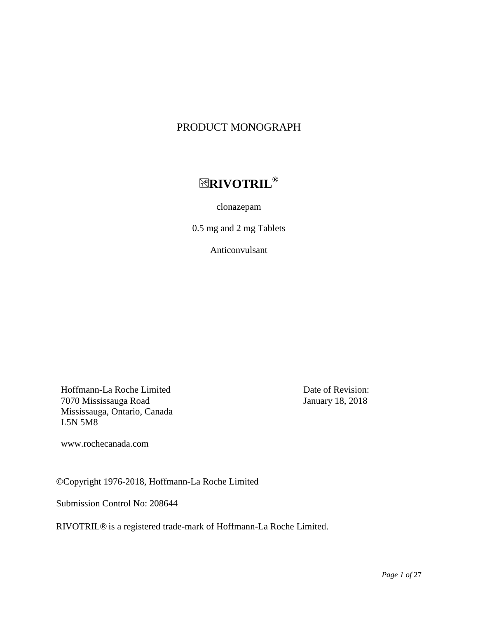# PRODUCT MONOGRAPH

# **RIVOTRIL®**

clonazepam

0.5 mg and 2 mg Tablets

Anticonvulsant

Hoffmann-La Roche Limited 7070 Mississauga Road Mississauga, Ontario, Canada L5N 5M8

Date of Revision: January 18, 2018

www.rochecanada.com

©Copyright 1976-2018, Hoffmann-La Roche Limited

Submission Control No: 208644

RIVOTRIL® is a registered trade-mark of Hoffmann-La Roche Limited.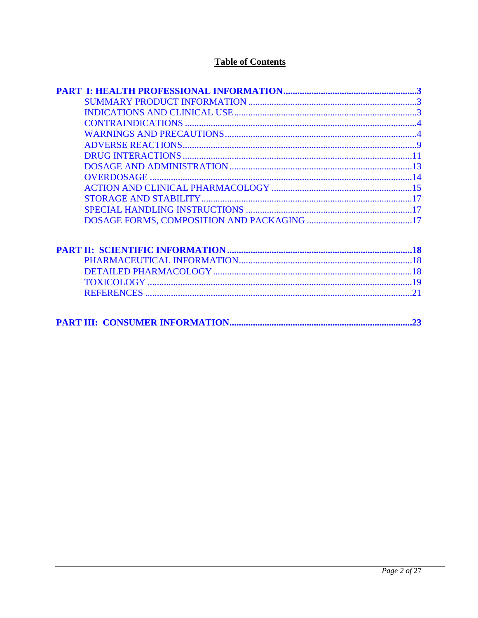## **Table of Contents**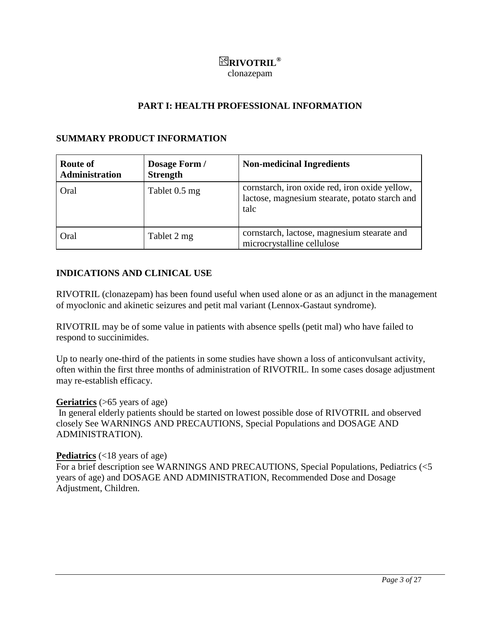# <span id="page-2-2"></span><span id="page-2-1"></span>**RIVOTRIL®**

<span id="page-2-0"></span>clonazepam

## **PART I: HEALTH PROFESSIONAL INFORMATION**

### **SUMMARY PRODUCT INFORMATION**

| <b>Route of</b><br><b>Administration</b> | Dosage Form /<br><b>Strength</b> | <b>Non-medicinal Ingredients</b>                                                                         |
|------------------------------------------|----------------------------------|----------------------------------------------------------------------------------------------------------|
| Oral                                     | Tablet 0.5 mg                    | cornstarch, iron oxide red, iron oxide yellow,<br>lactose, magnesium stearate, potato starch and<br>talc |
| Oral                                     | Tablet 2 mg                      | cornstarch, lactose, magnesium stearate and<br>microcrystalline cellulose                                |

## **INDICATIONS AND CLINICAL USE**

RIVOTRIL (clonazepam) has been found useful when used alone or as an adjunct in the management of myoclonic and akinetic seizures and petit mal variant (Lennox-Gastaut syndrome).

RIVOTRIL may be of some value in patients with absence spells (petit mal) who have failed to respond to succinimides.

Up to nearly one-third of the patients in some studies have shown a loss of anticonvulsant activity, often within the first three months of administration of RIVOTRIL. In some cases dosage adjustment may re-establish efficacy.

### **Geriatrics** (>65 years of age)

In general elderly patients should be started on lowest possible dose of RIVOTRIL and observed closely See WARNINGS AND PRECAUTIONS, Special Populations and DOSAGE AND ADMINISTRATION).

### **Pediatrics** (<18 years of age)

For a brief description see WARNINGS AND PRECAUTIONS, Special Populations, Pediatrics (<5 years of age) and DOSAGE AND ADMINISTRATION, Recommended Dose and Dosage Adjustment, Children.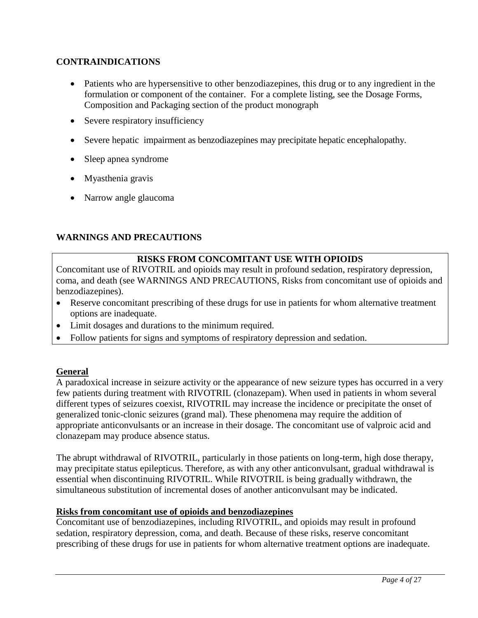## <span id="page-3-0"></span>**CONTRAINDICATIONS**

- <span id="page-3-1"></span> Patients who are hypersensitive to other benzodiazepines, this drug or to any ingredient in the formulation or component of the container. For a complete listing, see the Dosage Forms, Composition and Packaging section of the product monograph
- Severe respiratory insufficiency
- Severe hepatic impairment as benzodiazepines may precipitate hepatic encephalopathy.
- Sleep apnea syndrome
- Myasthenia gravis
- Narrow angle glaucoma

## **WARNINGS AND PRECAUTIONS**

## **RISKS FROM CONCOMITANT USE WITH OPIOIDS**

Concomitant use of RIVOTRIL and opioids may result in profound sedation, respiratory depression, coma, and death (see WARNINGS AND PRECAUTIONS, Risks from concomitant use of opioids and benzodiazepines).

- Reserve concomitant prescribing of these drugs for use in patients for whom alternative treatment options are inadequate.
- Limit dosages and durations to the minimum required.
- Follow patients for signs and symptoms of respiratory depression and sedation.

## **General**

A paradoxical increase in seizure activity or the appearance of new seizure types has occurred in a very few patients during treatment with RIVOTRIL (clonazepam). When used in patients in whom several different types of seizures coexist, RIVOTRIL may increase the incidence or precipitate the onset of generalized tonic-clonic seizures (grand mal). These phenomena may require the addition of appropriate anticonvulsants or an increase in their dosage. The concomitant use of valproic acid and clonazepam may produce absence status.

The abrupt withdrawal of RIVOTRIL, particularly in those patients on long-term, high dose therapy, may precipitate status epilepticus. Therefore, as with any other anticonvulsant, gradual withdrawal is essential when discontinuing RIVOTRIL. While RIVOTRIL is being gradually withdrawn, the simultaneous substitution of incremental doses of another anticonvulsant may be indicated.

## **Risks from concomitant use of opioids and benzodiazepines**

Concomitant use of benzodiazepines, including RIVOTRIL, and opioids may result in profound sedation, respiratory depression, coma, and death. Because of these risks, reserve concomitant prescribing of these drugs for use in patients for whom alternative treatment options are inadequate.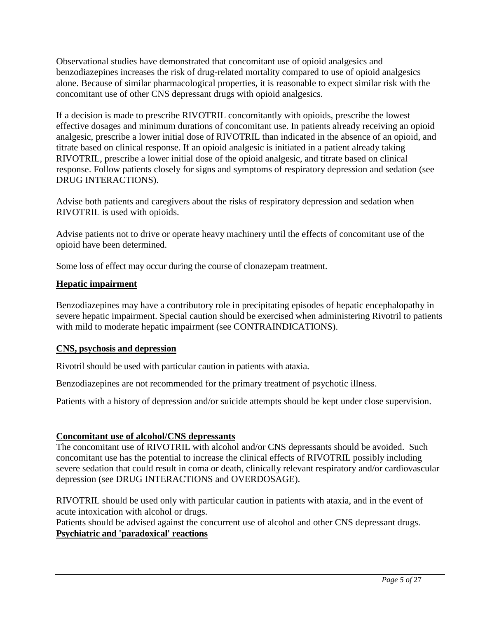Observational studies have demonstrated that concomitant use of opioid analgesics and benzodiazepines increases the risk of drug-related mortality compared to use of opioid analgesics alone. Because of similar pharmacological properties, it is reasonable to expect similar risk with the concomitant use of other CNS depressant drugs with opioid analgesics.

If a decision is made to prescribe RIVOTRIL concomitantly with opioids, prescribe the lowest effective dosages and minimum durations of concomitant use. In patients already receiving an opioid analgesic, prescribe a lower initial dose of RIVOTRIL than indicated in the absence of an opioid, and titrate based on clinical response. If an opioid analgesic is initiated in a patient already taking RIVOTRIL, prescribe a lower initial dose of the opioid analgesic, and titrate based on clinical response. Follow patients closely for signs and symptoms of respiratory depression and sedation (see DRUG INTERACTIONS).

Advise both patients and caregivers about the risks of respiratory depression and sedation when RIVOTRIL is used with opioids.

Advise patients not to drive or operate heavy machinery until the effects of concomitant use of the opioid have been determined.

Some loss of effect may occur during the course of clonazepam treatment.

## **Hepatic impairment**

Benzodiazepines may have a contributory role in precipitating episodes of hepatic encephalopathy in severe hepatic impairment. Special caution should be exercised when administering Rivotril to patients with mild to moderate hepatic impairment (see CONTRAINDICATIONS).

## **CNS, psychosis and depression**

Rivotril should be used with particular caution in patients with ataxia.

Benzodiazepines are not recommended for the primary treatment of psychotic illness.

Patients with a history of depression and/or suicide attempts should be kept under close supervision.

## **Concomitant use of alcohol/CNS depressants**

The concomitant use of RIVOTRIL with alcohol and/or CNS depressants should be avoided. Such concomitant use has the potential to increase the clinical effects of RIVOTRIL possibly including severe sedation that could result in coma or death, clinically relevant respiratory and/or cardiovascular depression (see DRUG INTERACTIONS and OVERDOSAGE).

RIVOTRIL should be used only with particular caution in patients with ataxia, and in the event of acute intoxication with alcohol or drugs.

Patients should be advised against the concurrent use of alcohol and other CNS depressant drugs. **Psychiatric and 'paradoxical' reactions**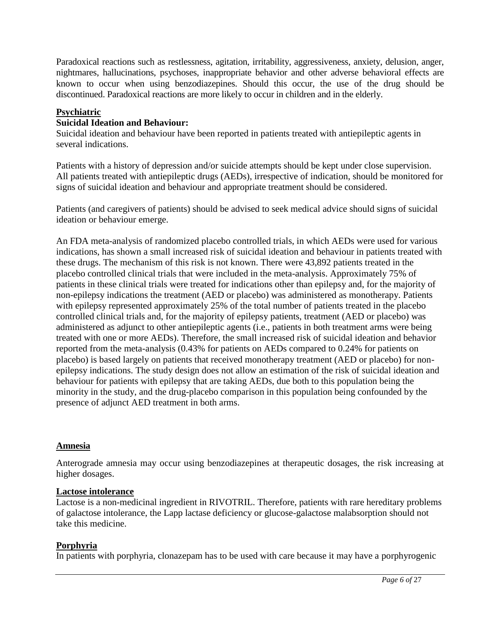Paradoxical reactions such as restlessness, agitation, irritability, aggressiveness, anxiety, delusion, anger, nightmares, hallucinations, psychoses, inappropriate behavior and other adverse behavioral effects are known to occur when using benzodiazepines. Should this occur, the use of the drug should be discontinued. Paradoxical reactions are more likely to occur in children and in the elderly.

### **Psychiatric**

### **Suicidal Ideation and Behaviour:**

Suicidal ideation and behaviour have been reported in patients treated with antiepileptic agents in several indications.

Patients with a history of depression and/or suicide attempts should be kept under close supervision. All patients treated with antiepileptic drugs (AEDs), irrespective of indication, should be monitored for signs of suicidal ideation and behaviour and appropriate treatment should be considered.

Patients (and caregivers of patients) should be advised to seek medical advice should signs of suicidal ideation or behaviour emerge.

An FDA meta-analysis of randomized placebo controlled trials, in which AEDs were used for various indications, has shown a small increased risk of suicidal ideation and behaviour in patients treated with these drugs. The mechanism of this risk is not known. There were 43,892 patients treated in the placebo controlled clinical trials that were included in the meta-analysis. Approximately 75% of patients in these clinical trials were treated for indications other than epilepsy and, for the majority of non-epilepsy indications the treatment (AED or placebo) was administered as monotherapy. Patients with epilepsy represented approximately 25% of the total number of patients treated in the placebo controlled clinical trials and, for the majority of epilepsy patients, treatment (AED or placebo) was administered as adjunct to other antiepileptic agents (i.e., patients in both treatment arms were being treated with one or more AEDs). Therefore, the small increased risk of suicidal ideation and behavior reported from the meta-analysis (0.43% for patients on AEDs compared to 0.24% for patients on placebo) is based largely on patients that received monotherapy treatment (AED or placebo) for nonepilepsy indications. The study design does not allow an estimation of the risk of suicidal ideation and behaviour for patients with epilepsy that are taking AEDs, due both to this population being the minority in the study, and the drug-placebo comparison in this population being confounded by the presence of adjunct AED treatment in both arms.

## **Amnesia**

Anterograde amnesia may occur using benzodiazepines at therapeutic dosages, the risk increasing at higher dosages.

### **Lactose intolerance**

Lactose is a non-medicinal ingredient in RIVOTRIL. Therefore, patients with rare hereditary problems of galactose intolerance, the Lapp lactase deficiency or glucose-galactose malabsorption should not take this medicine.

### **Porphyria**

In patients with porphyria, clonazepam has to be used with care because it may have a porphyrogenic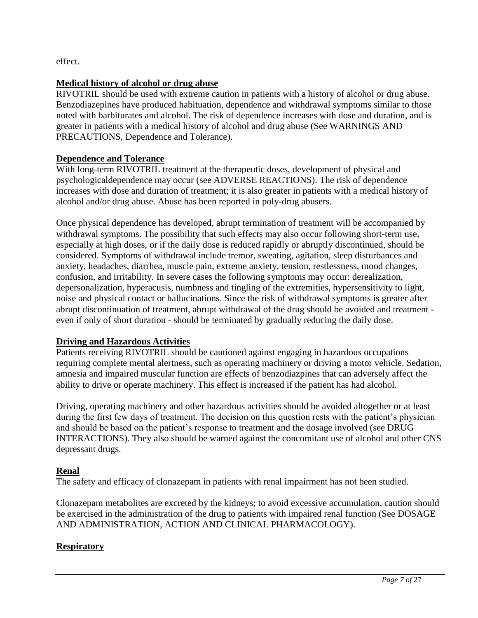effect.

## **Medical history of alcohol or drug abuse**

RIVOTRIL should be used with extreme caution in patients with a history of alcohol or drug abuse. Benzodiazepines have produced habituation, dependence and withdrawal symptoms similar to those noted with barbiturates and alcohol. The risk of dependence increases with dose and duration, and is greater in patients with a medical history of alcohol and drug abuse (See WARNINGS AND PRECAUTIONS, Dependence and Tolerance).

## **Dependence and Tolerance**

With long-term RIVOTRIL treatment at the therapeutic doses, development of physical and psychologicaldependence may occur (see ADVERSE REACTIONS). The risk of dependence increases with dose and duration of treatment; it is also greater in patients with a medical history of alcohol and/or drug abuse. Abuse has been reported in poly-drug abusers.

Once physical dependence has developed, abrupt termination of treatment will be accompanied by withdrawal symptoms. The possibility that such effects may also occur following short-term use, especially at high doses, or if the daily dose is reduced rapidly or abruptly discontinued, should be considered. Symptoms of withdrawal include tremor, sweating, agitation, sleep disturbances and anxiety, headaches, diarrhea, muscle pain, extreme anxiety, tension, restlessness, mood changes, confusion, and irritability. In severe cases the following symptoms may occur: derealization, depersonalization, hyperacusis, numbness and tingling of the extremities, hypersensitivity to light, noise and physical contact or hallucinations. Since the risk of withdrawal symptoms is greater after abrupt discontinuation of treatment, abrupt withdrawal of the drug should be avoided and treatment even if only of short duration - should be terminated by gradually reducing the daily dose.

## **Driving and Hazardous Activities**

Patients receiving RIVOTRIL should be cautioned against engaging in hazardous occupations requiring complete mental alertness, such as operating machinery or driving a motor vehicle. Sedation, amnesia and impaired muscular function are effects of benzodiazpines that can adversely affect the ability to drive or operate machinery. This effect is increased if the patient has had alcohol.

Driving, operating machinery and other hazardous activities should be avoided altogether or at least during the first few days of treatment. The decision on this question rests with the patient's physician and should be based on the patient's response to treatment and the dosage involved (see DRUG INTERACTIONS). They also should be warned against the concomitant use of alcohol and other CNS depressant drugs.

## **Renal**

The safety and efficacy of clonazepam in patients with renal impairment has not been studied.

Clonazepam metabolites are excreted by the kidneys; to avoid excessive accumulation, caution should be exercised in the administration of the drug to patients with impaired renal function (See DOSAGE AND ADMINISTRATION, ACTION AND CLINICAL PHARMACOLOGY).

## **Respiratory**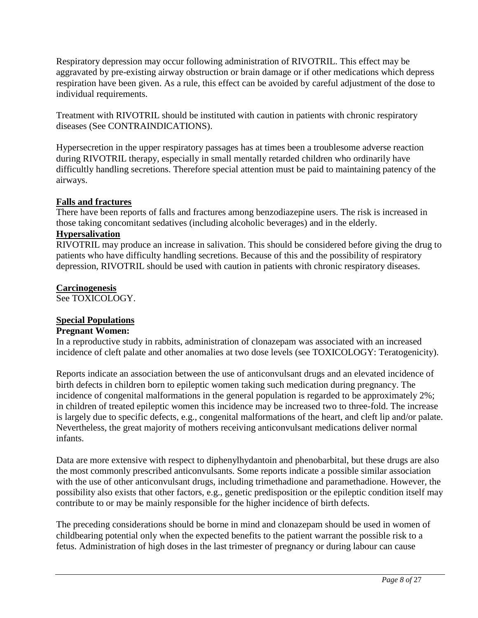Respiratory depression may occur following administration of RIVOTRIL. This effect may be aggravated by pre-existing airway obstruction or brain damage or if other medications which depress respiration have been given. As a rule, this effect can be avoided by careful adjustment of the dose to individual requirements.

Treatment with RIVOTRIL should be instituted with caution in patients with chronic respiratory diseases (See CONTRAINDICATIONS).

Hypersecretion in the upper respiratory passages has at times been a troublesome adverse reaction during RIVOTRIL therapy, especially in small mentally retarded children who ordinarily have difficultly handling secretions. Therefore special attention must be paid to maintaining patency of the airways.

## **Falls and fractures**

There have been reports of falls and fractures among benzodiazepine users. The risk is increased in those taking concomitant sedatives (including alcoholic beverages) and in the elderly.

## **Hypersalivation**

RIVOTRIL may produce an increase in salivation. This should be considered before giving the drug to patients who have difficulty handling secretions. Because of this and the possibility of respiratory depression, RIVOTRIL should be used with caution in patients with chronic respiratory diseases.

### **Carcinogenesis**

See TOXICOLOGY.

## **Special Populations**

## **Pregnant Women:**

In a reproductive study in rabbits, administration of clonazepam was associated with an increased incidence of cleft palate and other anomalies at two dose levels (see TOXICOLOGY: Teratogenicity).

Reports indicate an association between the use of anticonvulsant drugs and an elevated incidence of birth defects in children born to epileptic women taking such medication during pregnancy. The incidence of congenital malformations in the general population is regarded to be approximately 2%; in children of treated epileptic women this incidence may be increased two to three-fold. The increase is largely due to specific defects, e.g., congenital malformations of the heart, and cleft lip and/or palate. Nevertheless, the great majority of mothers receiving anticonvulsant medications deliver normal infants.

Data are more extensive with respect to diphenylhydantoin and phenobarbital, but these drugs are also the most commonly prescribed anticonvulsants. Some reports indicate a possible similar association with the use of other anticonvulsant drugs, including trimethadione and paramethadione. However, the possibility also exists that other factors, e.g., genetic predisposition or the epileptic condition itself may contribute to or may be mainly responsible for the higher incidence of birth defects.

The preceding considerations should be borne in mind and clonazepam should be used in women of childbearing potential only when the expected benefits to the patient warrant the possible risk to a fetus. Administration of high doses in the last trimester of pregnancy or during labour can cause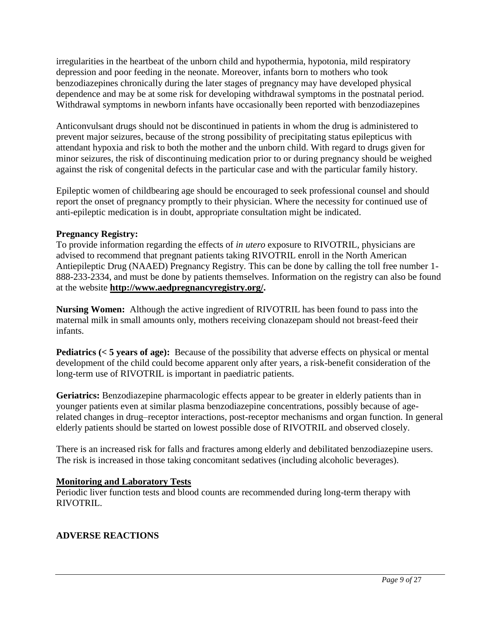<span id="page-8-0"></span>irregularities in the heartbeat of the unborn child and hypothermia, hypotonia, mild respiratory depression and poor feeding in the neonate. Moreover, infants born to mothers who took benzodiazepines chronically during the later stages of pregnancy may have developed physical dependence and may be at some risk for developing withdrawal symptoms in the postnatal period. Withdrawal symptoms in newborn infants have occasionally been reported with benzodiazepines

Anticonvulsant drugs should not be discontinued in patients in whom the drug is administered to prevent major seizures, because of the strong possibility of precipitating status epilepticus with attendant hypoxia and risk to both the mother and the unborn child. With regard to drugs given for minor seizures, the risk of discontinuing medication prior to or during pregnancy should be weighed against the risk of congenital defects in the particular case and with the particular family history.

Epileptic women of childbearing age should be encouraged to seek professional counsel and should report the onset of pregnancy promptly to their physician. Where the necessity for continued use of anti-epileptic medication is in doubt, appropriate consultation might be indicated.

## **Pregnancy Registry:**

To provide information regarding the effects of *in utero* exposure to RIVOTRIL, physicians are advised to recommend that pregnant patients taking RIVOTRIL enroll in the North American Antiepileptic Drug (NAAED) Pregnancy Registry. This can be done by calling the toll free number 1- 888-233-2334, and must be done by patients themselves. Information on the registry can also be found at the website **http://www.aedpregnancyregistry.org/.** 

**Nursing Women:** Although the active ingredient of RIVOTRIL has been found to pass into the maternal milk in small amounts only, mothers receiving clonazepam should not breast-feed their infants.

**Pediatrics (< 5 years of age):** Because of the possibility that adverse effects on physical or mental development of the child could become apparent only after years, a risk-benefit consideration of the long-term use of RIVOTRIL is important in paediatric patients.

**Geriatrics:** Benzodiazepine pharmacologic effects appear to be greater in elderly patients than in younger patients even at similar plasma benzodiazepine concentrations, possibly because of agerelated changes in drug–receptor interactions, post-receptor mechanisms and organ function*.* In general elderly patients should be started on lowest possible dose of RIVOTRIL and observed closely.

There is an increased risk for falls and fractures among elderly and debilitated benzodiazepine users. The risk is increased in those taking concomitant sedatives (including alcoholic beverages).

## **Monitoring and Laboratory Tests**

Periodic liver function tests and blood counts are recommended during long-term therapy with RIVOTRIL.

## **ADVERSE REACTIONS**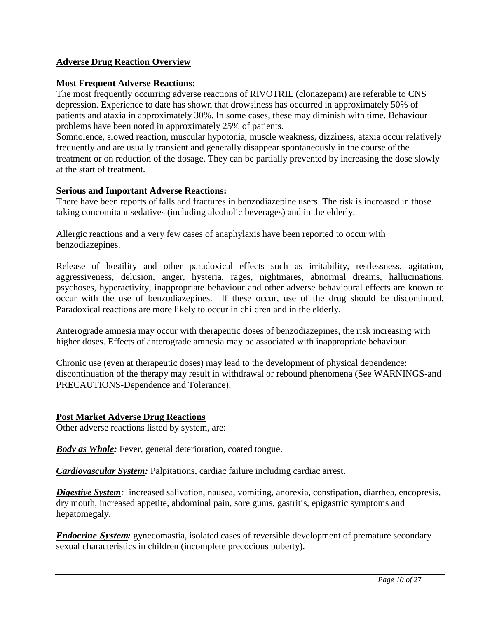## **Adverse Drug Reaction Overview**

### **Most Frequent Adverse Reactions:**

The most frequently occurring adverse reactions of RIVOTRIL (clonazepam) are referable to CNS depression. Experience to date has shown that drowsiness has occurred in approximately 50% of patients and ataxia in approximately 30%. In some cases, these may diminish with time. Behaviour problems have been noted in approximately 25% of patients.

Somnolence, slowed reaction, muscular hypotonia, muscle weakness, dizziness, ataxia occur relatively frequently and are usually transient and generally disappear spontaneously in the course of the treatment or on reduction of the dosage. They can be partially prevented by increasing the dose slowly at the start of treatment.

### **Serious and Important Adverse Reactions:**

There have been reports of falls and fractures in benzodiazepine users. The risk is increased in those taking concomitant sedatives (including alcoholic beverages) and in the elderly.

Allergic reactions and a very few cases of anaphylaxis have been reported to occur with benzodiazepines.

Release of hostility and other paradoxical effects such as irritability, restlessness, agitation, aggressiveness, delusion, anger, hysteria, rages, nightmares, abnormal dreams, hallucinations, psychoses, hyperactivity, inappropriate behaviour and other adverse behavioural effects are known to occur with the use of benzodiazepines. If these occur, use of the drug should be discontinued. Paradoxical reactions are more likely to occur in children and in the elderly.

Anterograde amnesia may occur with therapeutic doses of benzodiazepines, the risk increasing with higher doses. Effects of anterograde amnesia may be associated with inappropriate behaviour.

Chronic use (even at therapeutic doses) may lead to the development of physical dependence: discontinuation of the therapy may result in withdrawal or rebound phenomena (See WARNINGS-and PRECAUTIONS-Dependence and Tolerance).

### **Post Market Adverse Drug Reactions**

Other adverse reactions listed by system, are:

*Body as Whole:* Fever, general deterioration, coated tongue.

*Cardiovascular System:* Palpitations, cardiac failure including cardiac arrest.

*Digestive System:* increased salivation, nausea, vomiting, anorexia, constipation, diarrhea, encopresis, dry mouth, increased appetite, abdominal pain, sore gums, gastritis, epigastric symptoms and hepatomegaly.

*Endocrine System:* gynecomastia, isolated cases of reversible development of premature secondary sexual characteristics in children (incomplete precocious puberty).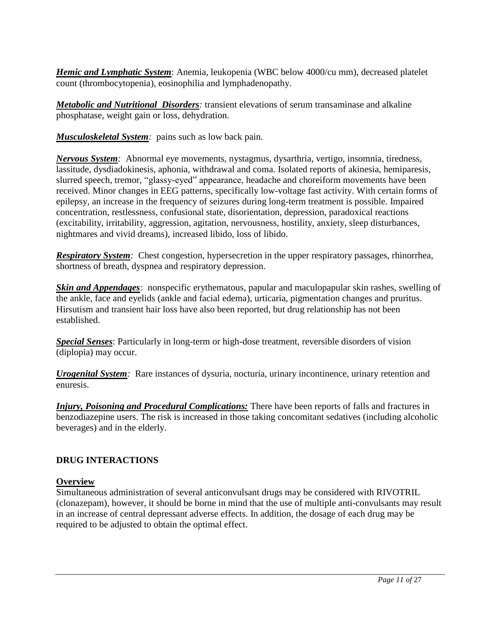<span id="page-10-0"></span>*Hemic and Lymphatic System*: Anemia, leukopenia (WBC below 4000/cu mm), decreased platelet count (thrombocytopenia), eosinophilia and lymphadenopathy.

*Metabolic and Nutritional Disorders:* transient elevations of serum transaminase and alkaline phosphatase, weight gain or loss, dehydration.

*Musculoskeletal System:* pains such as low back pain.

*Nervous System:* Abnormal eye movements, nystagmus, dysarthria, vertigo, insomnia, tiredness, lassitude, dysdiadokinesis, aphonia, withdrawal and coma. Isolated reports of akinesia, hemiparesis, slurred speech, tremor, "glassy-eyed" appearance, headache and choreiform movements have been received. Minor changes in EEG patterns, specifically low-voltage fast activity. With certain forms of epilepsy, an increase in the frequency of seizures during long-term treatment is possible. Impaired concentration, restlessness, confusional state, disorientation, depression, paradoxical reactions (excitability, irritability, aggression, agitation, nervousness, hostility, anxiety, sleep disturbances, nightmares and vivid dreams), increased libido, loss of libido.

*Respiratory System:* Chest congestion, hypersecretion in the upper respiratory passages, rhinorrhea, shortness of breath, dyspnea and respiratory depression.

*Skin and Appendages:* nonspecific erythematous, papular and maculopapular skin rashes, swelling of the ankle, face and eyelids (ankle and facial edema), urticaria, pigmentation changes and pruritus. Hirsutism and transient hair loss have also been reported, but drug relationship has not been established.

*Special Senses*: Particularly in long-term or high-dose treatment, reversible disorders of vision (diplopia) may occur.

*Urogenital System:* Rare instances of dysuria, nocturia, urinary incontinence, urinary retention and enuresis.

*Injury, Poisoning and Procedural Complications:* There have been reports of falls and fractures in benzodiazepine users. The risk is increased in those taking concomitant sedatives (including alcoholic beverages) and in the elderly.

## **DRUG INTERACTIONS**

## **Overview**

Simultaneous administration of several anticonvulsant drugs may be considered with RIVOTRIL (clonazepam), however, it should be borne in mind that the use of multiple anti-convulsants may result in an increase of central depressant adverse effects. In addition, the dosage of each drug may be required to be adjusted to obtain the optimal effect.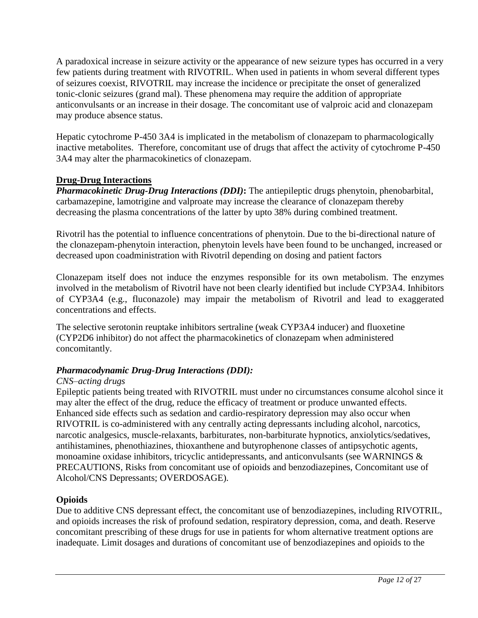A paradoxical increase in seizure activity or the appearance of new seizure types has occurred in a very few patients during treatment with RIVOTRIL. When used in patients in whom several different types of seizures coexist, RIVOTRIL may increase the incidence or precipitate the onset of generalized tonic-clonic seizures (grand mal). These phenomena may require the addition of appropriate anticonvulsants or an increase in their dosage. The concomitant use of valproic acid and clonazepam may produce absence status.

Hepatic cytochrome P-450 3A4 is implicated in the metabolism of clonazepam to pharmacologically inactive metabolites. Therefore, concomitant use of drugs that affect the activity of cytochrome P-450 3A4 may alter the pharmacokinetics of clonazepam.

## **Drug-Drug Interactions**

*Pharmacokinetic Drug-Drug Interactions (DDI)***:** The antiepileptic drugs phenytoin, phenobarbital, carbamazepine, lamotrigine and valproate may increase the clearance of clonazepam thereby decreasing the plasma concentrations of the latter by upto 38% during combined treatment.

Rivotril has the potential to influence concentrations of phenytoin. Due to the bi-directional nature of the clonazepam-phenytoin interaction, phenytoin levels have been found to be unchanged, increased or decreased upon coadministration with Rivotril depending on dosing and patient factors

Clonazepam itself does not induce the enzymes responsible for its own metabolism. The enzymes involved in the metabolism of Rivotril have not been clearly identified but include CYP3A4. Inhibitors of CYP3A4 (e.g., fluconazole) may impair the metabolism of Rivotril and lead to exaggerated concentrations and effects.

The selective serotonin reuptake inhibitors sertraline (weak CYP3A4 inducer) and fluoxetine (CYP2D6 inhibitor) do not affect the pharmacokinetics of clonazepam when administered concomitantly.

## *Pharmacodynamic Drug-Drug Interactions (DDI):*

## *CNS–acting drugs*

Epileptic patients being treated with RIVOTRIL must under no circumstances consume alcohol since it may alter the effect of the drug, reduce the efficacy of treatment or produce unwanted effects. Enhanced side effects such as sedation and cardio-respiratory depression may also occur when RIVOTRIL is co-administered with any centrally acting depressants including alcohol, narcotics, narcotic analgesics, muscle-relaxants, barbiturates, non-barbiturate hypnotics, anxiolytics/sedatives, antihistamines, phenothiazines, thioxanthene and butyrophenone classes of antipsychotic agents, monoamine oxidase inhibitors, tricyclic antidepressants, and anticonvulsants (see WARNINGS & PRECAUTIONS, Risks from concomitant use of opioids and benzodiazepines, Concomitant use of Alcohol/CNS Depressants; OVERDOSAGE).

## **Opioids**

Due to additive CNS depressant effect, the concomitant use of benzodiazepines, including RIVOTRIL, and opioids increases the risk of profound sedation, respiratory depression, coma, and death. Reserve concomitant prescribing of these drugs for use in patients for whom alternative treatment options are inadequate. Limit dosages and durations of concomitant use of benzodiazepines and opioids to the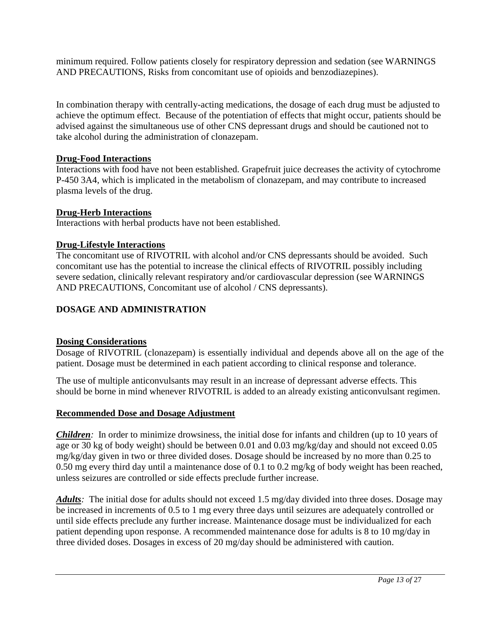<span id="page-12-0"></span>minimum required. Follow patients closely for respiratory depression and sedation (see WARNINGS AND PRECAUTIONS, Risks from concomitant use of opioids and benzodiazepines).

In combination therapy with centrally-acting medications, the dosage of each drug must be adjusted to achieve the optimum effect. Because of the potentiation of effects that might occur, patients should be advised against the simultaneous use of other CNS depressant drugs and should be cautioned not to take alcohol during the administration of clonazepam.

## **Drug-Food Interactions**

Interactions with food have not been established. Grapefruit juice decreases the activity of cytochrome P-450 3A4, which is implicated in the metabolism of clonazepam, and may contribute to increased plasma levels of the drug.

## **Drug-Herb Interactions**

Interactions with herbal products have not been established.

## **Drug-Lifestyle Interactions**

The concomitant use of RIVOTRIL with alcohol and/or CNS depressants should be avoided. Such concomitant use has the potential to increase the clinical effects of RIVOTRIL possibly including severe sedation, clinically relevant respiratory and/or cardiovascular depression (see WARNINGS AND PRECAUTIONS, Concomitant use of alcohol / CNS depressants).

## **DOSAGE AND ADMINISTRATION**

## **Dosing Considerations**

Dosage of RIVOTRIL (clonazepam) is essentially individual and depends above all on the age of the patient. Dosage must be determined in each patient according to clinical response and tolerance.

The use of multiple anticonvulsants may result in an increase of depressant adverse effects. This should be borne in mind whenever RIVOTRIL is added to an already existing anticonvulsant regimen.

## **Recommended Dose and Dosage Adjustment**

*Children:* In order to minimize drowsiness, the initial dose for infants and children (up to 10 years of age or 30 kg of body weight) should be between 0.01 and 0.03 mg/kg/day and should not exceed 0.05 mg/kg/day given in two or three divided doses. Dosage should be increased by no more than 0.25 to 0.50 mg every third day until a maintenance dose of 0.1 to 0.2 mg/kg of body weight has been reached, unless seizures are controlled or side effects preclude further increase.

*Adults:* The initial dose for adults should not exceed 1.5 mg/day divided into three doses. Dosage may be increased in increments of 0.5 to 1 mg every three days until seizures are adequately controlled or until side effects preclude any further increase. Maintenance dosage must be individualized for each patient depending upon response. A recommended maintenance dose for adults is 8 to 10 mg/day in three divided doses. Dosages in excess of 20 mg/day should be administered with caution.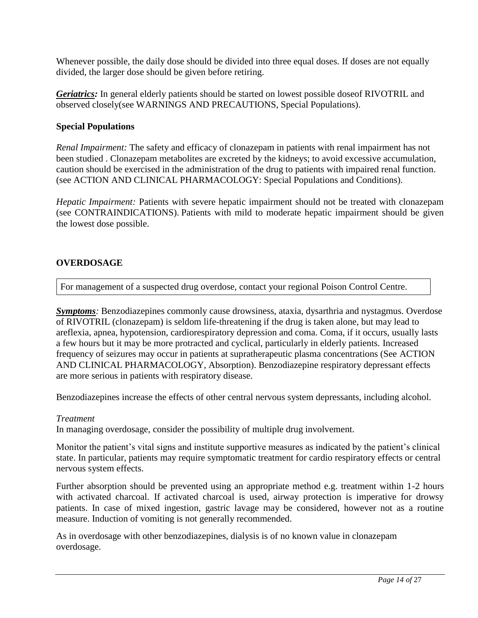<span id="page-13-0"></span>Whenever possible, the daily dose should be divided into three equal doses. If doses are not equally divided, the larger dose should be given before retiring.

*Geriatrics:* In general elderly patients should be started on lowest possible doseof RIVOTRIL and observed closely(see WARNINGS AND PRECAUTIONS, Special Populations).

### **Special Populations**

*Renal Impairment:* The safety and efficacy of clonazepam in patients with renal impairment has not been studied . Clonazepam metabolites are excreted by the kidneys; to avoid excessive accumulation, caution should be exercised in the administration of the drug to patients with impaired renal function. (see ACTION AND CLINICAL PHARMACOLOGY: Special Populations and Conditions).

*Hepatic Impairment:* Patients with severe hepatic impairment should not be treated with clonazepam (see CONTRAINDICATIONS). Patients with mild to moderate hepatic impairment should be given the lowest dose possible.

### **OVERDOSAGE**

For management of a suspected drug overdose, contact your regional Poison Control Centre.

**Symptoms**: Benzodiazepines commonly cause drowsiness, ataxia, dysarthria and nystagmus. Overdose of RIVOTRIL (clonazepam) is seldom life-threatening if the drug is taken alone, but may lead to areflexia, apnea, hypotension, cardiorespiratory depression and coma. Coma, if it occurs, usually lasts a few hours but it may be more protracted and cyclical, particularly in elderly patients. Increased frequency of seizures may occur in patients at supratherapeutic plasma concentrations (See ACTION AND CLINICAL PHARMACOLOGY, Absorption). Benzodiazepine respiratory depressant effects are more serious in patients with respiratory disease.

Benzodiazepines increase the effects of other central nervous system depressants, including alcohol.

### *Treatment*

In managing overdosage, consider the possibility of multiple drug involvement.

Monitor the patient's vital signs and institute supportive measures as indicated by the patient's clinical state. In particular, patients may require symptomatic treatment for cardio respiratory effects or central nervous system effects.

Further absorption should be prevented using an appropriate method e.g. treatment within 1-2 hours with activated charcoal. If activated charcoal is used, airway protection is imperative for drowsy patients. In case of mixed ingestion, gastric lavage may be considered, however not as a routine measure. Induction of vomiting is not generally recommended.

As in overdosage with other benzodiazepines, dialysis is of no known value in clonazepam overdosage.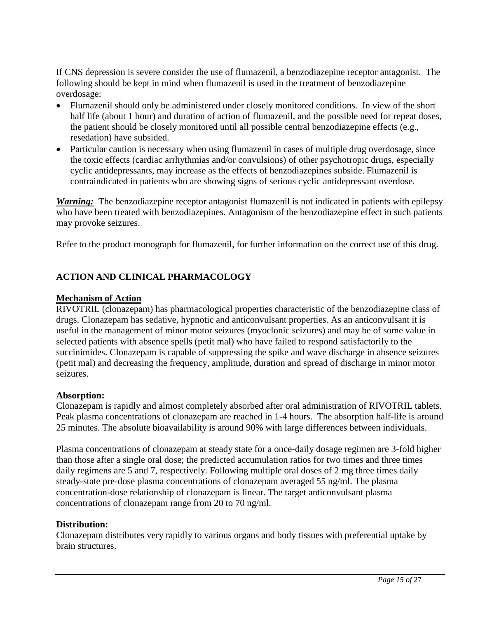<span id="page-14-0"></span>If CNS depression is severe consider the use of flumazenil, a benzodiazepine receptor antagonist. The following should be kept in mind when flumazenil is used in the treatment of benzodiazepine overdosage:

- Flumazenil should only be administered under closely monitored conditions. In view of the short half life (about 1 hour) and duration of action of flumazenil, and the possible need for repeat doses, the patient should be closely monitored until all possible central benzodiazepine effects (e.g., resedation) have subsided.
- Particular caution is necessary when using flumazenil in cases of multiple drug overdosage, since the toxic effects (cardiac arrhythmias and/or convulsions) of other psychotropic drugs, especially cyclic antidepressants, may increase as the effects of benzodiazepines subside. Flumazenil is contraindicated in patients who are showing signs of serious cyclic antidepressant overdose.

*Warning:* The benzodiazepine receptor antagonist flumazenil is not indicated in patients with epilepsy who have been treated with benzodiazepines. Antagonism of the benzodiazepine effect in such patients may provoke seizures.

Refer to the product monograph for flumazenil, for further information on the correct use of this drug.

## **ACTION AND CLINICAL PHARMACOLOGY**

## **Mechanism of Action**

RIVOTRIL (clonazepam) has pharmacological properties characteristic of the benzodiazepine class of drugs. Clonazepam has sedative, hypnotic and anticonvulsant properties. As an anticonvulsant it is useful in the management of minor motor seizures (myoclonic seizures) and may be of some value in selected patients with absence spells (petit mal) who have failed to respond satisfactorily to the succinimides. Clonazepam is capable of suppressing the spike and wave discharge in absence seizures (petit mal) and decreasing the frequency, amplitude, duration and spread of discharge in minor motor seizures.

### **Absorption:**

Clonazepam is rapidly and almost completely absorbed after oral administration of RIVOTRIL tablets. Peak plasma concentrations of clonazepam are reached in 1-4 hours. The absorption half-life is around 25 minutes. The absolute bioavailability is around 90% with large differences between individuals.

Plasma concentrations of clonazepam at steady state for a once-daily dosage regimen are 3-fold higher than those after a single oral dose; the predicted accumulation ratios for two times and three times daily regimens are 5 and 7, respectively. Following multiple oral doses of 2 mg three times daily steady-state pre-dose plasma concentrations of clonazepam averaged 55 ng/ml. The plasma concentration-dose relationship of clonazepam is linear. The target anticonvulsant plasma concentrations of clonazepam range from 20 to 70 ng/ml.

## **Distribution:**

Clonazepam distributes very rapidly to various organs and body tissues with preferential uptake by brain structures.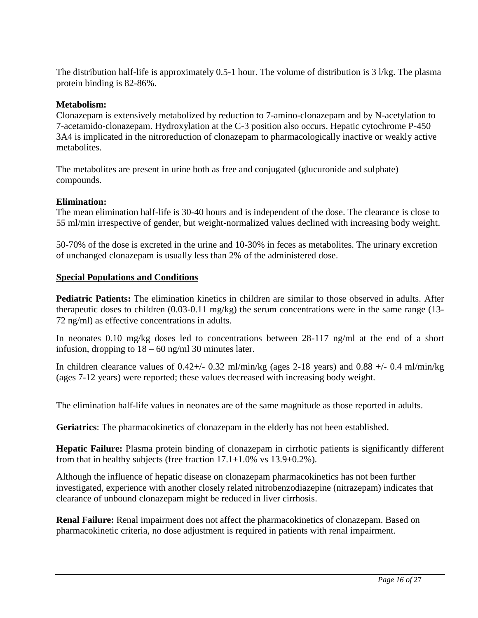The distribution half-life is approximately 0.5-1 hour. The volume of distribution is 3 l/kg. The plasma protein binding is 82-86%.

## **Metabolism:**

Clonazepam is extensively metabolized by reduction to 7-amino-clonazepam and by N-acetylation to 7-acetamido-clonazepam. Hydroxylation at the C-3 position also occurs. Hepatic cytochrome P-450 3A4 is implicated in the nitroreduction of clonazepam to pharmacologically inactive or weakly active metabolites.

The metabolites are present in urine both as free and conjugated (glucuronide and sulphate) compounds.

## **Elimination:**

The mean elimination half-life is 30-40 hours and is independent of the dose. The clearance is close to 55 ml/min irrespective of gender, but weight-normalized values declined with increasing body weight.

50-70% of the dose is excreted in the urine and 10-30% in feces as metabolites. The urinary excretion of unchanged clonazepam is usually less than 2% of the administered dose.

## **Special Populations and Conditions**

**Pediatric Patients:** The elimination kinetics in children are similar to those observed in adults. After therapeutic doses to children (0.03-0.11 mg/kg) the serum concentrations were in the same range (13- 72 ng/ml) as effective concentrations in adults.

In neonates 0.10 mg/kg doses led to concentrations between 28-117 ng/ml at the end of a short infusion, dropping to  $18 - 60$  ng/ml 30 minutes later.

In children clearance values of  $0.42+\frac{1}{2}$  - 0.32 ml/min/kg (ages 2-18 years) and  $0.88 + \frac{1}{2}$  0.4 ml/min/kg (ages 7-12 years) were reported; these values decreased with increasing body weight.

The elimination half-life values in neonates are of the same magnitude as those reported in adults.

**Geriatrics**: The pharmacokinetics of clonazepam in the elderly has not been established.

**Hepatic Failure:** Plasma protein binding of clonazepam in cirrhotic patients is significantly different from that in healthy subjects (free fraction  $17.1 \pm 1.0\%$  vs  $13.9 \pm 0.2\%$ ).

Although the influence of hepatic disease on clonazepam pharmacokinetics has not been further investigated, experience with another closely related nitrobenzodiazepine (nitrazepam) indicates that clearance of unbound clonazepam might be reduced in liver cirrhosis.

**Renal Failure:** Renal impairment does not affect the pharmacokinetics of clonazepam. Based on pharmacokinetic criteria, no dose adjustment is required in patients with renal impairment.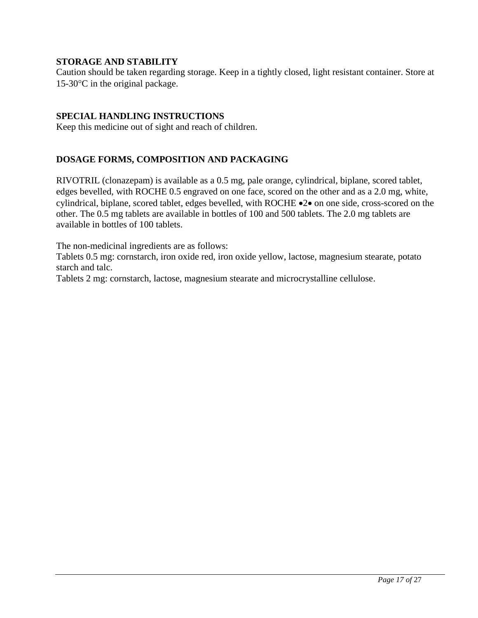## <span id="page-16-2"></span><span id="page-16-1"></span><span id="page-16-0"></span>**STORAGE AND STABILITY**

Caution should be taken regarding storage. Keep in a tightly closed, light resistant container. Store at  $15-30$ <sup>o</sup>C in the original package.

## **SPECIAL HANDLING INSTRUCTIONS**

Keep this medicine out of sight and reach of children.

## **DOSAGE FORMS, COMPOSITION AND PACKAGING**

RIVOTRIL (clonazepam) is available as a 0.5 mg, pale orange, cylindrical, biplane, scored tablet, edges bevelled, with ROCHE 0.5 engraved on one face, scored on the other and as a 2.0 mg, white, cylindrical, biplane, scored tablet, edges bevelled, with ROCHE  $\bullet$ 2 $\bullet$  on one side, cross-scored on the other. The 0.5 mg tablets are available in bottles of 100 and 500 tablets. The 2.0 mg tablets are available in bottles of 100 tablets.

The non-medicinal ingredients are as follows:

Tablets 0.5 mg: cornstarch, iron oxide red, iron oxide yellow, lactose, magnesium stearate, potato starch and talc.

Tablets 2 mg: cornstarch, lactose, magnesium stearate and microcrystalline cellulose.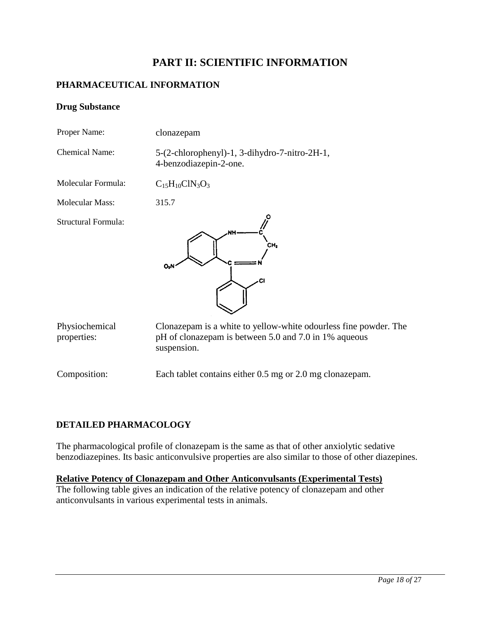## <span id="page-17-2"></span><span id="page-17-1"></span><span id="page-17-0"></span>**PART II: SCIENTIFIC INFORMATION**

## **PHARMACEUTICAL INFORMATION**

### **Drug Substance**

| Proper Name:                  | clonazepam                                                                                                                               |
|-------------------------------|------------------------------------------------------------------------------------------------------------------------------------------|
| <b>Chemical Name:</b>         | 5-(2-chlorophenyl)-1, 3-dihydro-7-nitro-2H-1,<br>4-benzodiazepin-2-one.                                                                  |
| Molecular Formula:            | $C_{15}H_{10}CIN_3O_3$                                                                                                                   |
| <b>Molecular Mass:</b>        | 315.7                                                                                                                                    |
| Structural Formula:           | CH,<br>Юł                                                                                                                                |
| Physiochemical<br>properties: | Clonazepam is a white to yellow-white odourless fine powder. The<br>pH of clonazepam is between 5.0 and 7.0 in 1% aqueous<br>suspension. |
| Composition:                  | Each tablet contains either 0.5 mg or 2.0 mg clonazepam.                                                                                 |

## **DETAILED PHARMACOLOGY**

The pharmacological profile of clonazepam is the same as that of other anxiolytic sedative benzodiazepines. Its basic anticonvulsive properties are also similar to those of other diazepines.

## **Relative Potency of Clonazepam and Other Anticonvulsants (Experimental Tests)**

The following table gives an indication of the relative potency of clonazepam and other anticonvulsants in various experimental tests in animals.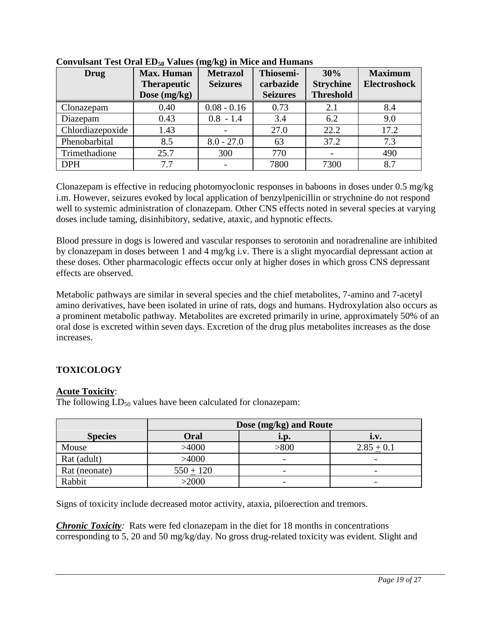| Drug             | <b>Max. Human</b>  | <b>Metrazol</b> | Thiosemi-       | 30%              | <b>Maximum</b>      |
|------------------|--------------------|-----------------|-----------------|------------------|---------------------|
|                  | <b>Therapeutic</b> | <b>Seizures</b> | carbazide       | <b>Strychine</b> | <b>Electroshock</b> |
|                  | Dose $(mg/kg)$     |                 | <b>Seizures</b> | <b>Threshold</b> |                     |
| Clonazepam       | 0.40               | $0.08 - 0.16$   | 0.73            | 2.1              | 8.4                 |
| Diazepam         | 0.43               | $0.8 - 1.4$     | 3.4             | 6.2              | 9.0                 |
| Chlordiazepoxide | 1.43               |                 | 27.0            | 22.2             | 17.2                |
| Phenobarbital    | 8.5                | $8.0 - 27.0$    | 63              | 37.2             | 7.3                 |
| Trimethadione    | 25.7               | 300             | 770             |                  | 490                 |
| <b>DPH</b>       | 7.7                |                 | 7800            | 7300             | 8.7                 |

## <span id="page-18-0"></span>**Convulsant Test Oral ED<sup>50</sup> Values (mg/kg) in Mice and Humans**

Clonazepam is effective in reducing photomyoclonic responses in baboons in doses under 0.5 mg/kg i.m. However, seizures evoked by local application of benzylpenicillin or strychnine do not respond well to systemic administration of clonazepam. Other CNS effects noted in several species at varying doses include taming, disinhibitory, sedative, ataxic, and hypnotic effects.

Blood pressure in dogs is lowered and vascular responses to serotonin and noradrenaline are inhibited by clonazepam in doses between 1 and 4 mg/kg i.v. There is a slight myocardial depressant action at these doses. Other pharmacologic effects occur only at higher doses in which gross CNS depressant effects are observed.

Metabolic pathways are similar in several species and the chief metabolites, 7-amino and 7-acetyl amino derivatives, have been isolated in urine of rats, dogs and humans. Hydroxylation also occurs as a prominent metabolic pathway. Metabolites are excreted primarily in urine, approximately 50% of an oral dose is excreted within seven days. Excretion of the drug plus metabolites increases as the dose increases.

## **TOXICOLOGY**

## **Acute Toxicity**:

The following  $LD_{50}$  values have been calculated for clonazepam:

|                | Dose (mg/kg) and Route |                          |                          |  |  |  |
|----------------|------------------------|--------------------------|--------------------------|--|--|--|
| <b>Species</b> | Oral<br>1.V.<br>1.p.   |                          |                          |  |  |  |
| Mouse          | >4000                  | > 800                    | $2.85 + 0.1$             |  |  |  |
| Rat (adult)    | >4000                  | $\overline{\phantom{0}}$ | $\overline{\phantom{0}}$ |  |  |  |
| Rat (neonate)  | $550 + 120$            | $\overline{\phantom{0}}$ | $\overline{\phantom{0}}$ |  |  |  |
| Rabbit         | >2000                  | $\overline{\phantom{0}}$ | $\overline{\phantom{0}}$ |  |  |  |

Signs of toxicity include decreased motor activity, ataxia, piloerection and tremors.

*Chronic Toxicity*: Rats were fed clonazepam in the diet for 18 months in concentrations corresponding to 5, 20 and 50 mg/kg/day. No gross drug-related toxicity was evident. Slight and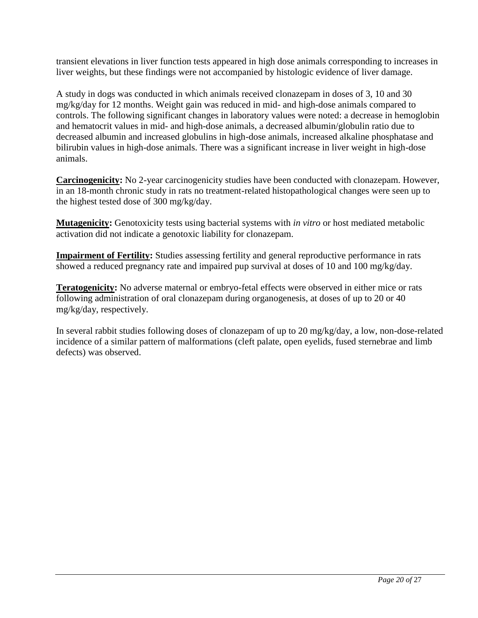transient elevations in liver function tests appeared in high dose animals corresponding to increases in liver weights, but these findings were not accompanied by histologic evidence of liver damage.

A study in dogs was conducted in which animals received clonazepam in doses of 3, 10 and 30 mg/kg/day for 12 months. Weight gain was reduced in mid- and high-dose animals compared to controls. The following significant changes in laboratory values were noted: a decrease in hemoglobin and hematocrit values in mid- and high-dose animals, a decreased albumin/globulin ratio due to decreased albumin and increased globulins in high-dose animals, increased alkaline phosphatase and bilirubin values in high-dose animals. There was a significant increase in liver weight in high-dose animals.

**Carcinogenicity:** No 2-year carcinogenicity studies have been conducted with clonazepam. However, in an 18-month chronic study in rats no treatment-related histopathological changes were seen up to the highest tested dose of 300 mg/kg/day.

**Mutagenicity:** Genotoxicity tests using bacterial systems with *in vitro* or host mediated metabolic activation did not indicate a genotoxic liability for clonazepam.

**Impairment of Fertility:** Studies assessing fertility and general reproductive performance in rats showed a reduced pregnancy rate and impaired pup survival at doses of 10 and 100 mg/kg/day.

**Teratogenicity:** No adverse maternal or embryo-fetal effects were observed in either mice or rats following administration of oral clonazepam during organogenesis, at doses of up to 20 or 40 mg/kg/day, respectively.

In several rabbit studies following doses of clonazepam of up to 20 mg/kg/day, a low, non-dose-related incidence of a similar pattern of malformations (cleft palate, open eyelids, fused sternebrae and limb defects) was observed.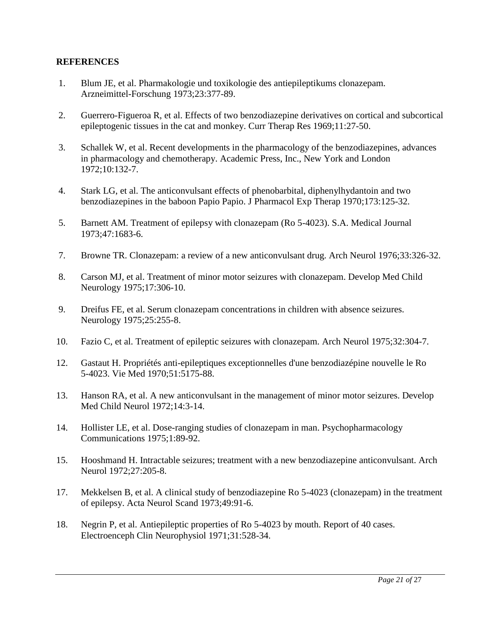## <span id="page-20-0"></span>**REFERENCES**

- 1. Blum JE, et al. Pharmakologie und toxikologie des antiepileptikums clonazepam. Arzneimittel-Forschung 1973;23:377-89.
- 2. Guerrero-Figueroa R, et al. Effects of two benzodiazepine derivatives on cortical and subcortical epileptogenic tissues in the cat and monkey. Curr Therap Res 1969;11:27-50.
- 3. Schallek W, et al. Recent developments in the pharmacology of the benzodiazepines, advances in pharmacology and chemotherapy. Academic Press, Inc., New York and London 1972;10:132-7.
- 4. Stark LG, et al. The anticonvulsant effects of phenobarbital, diphenylhydantoin and two benzodiazepines in the baboon Papio Papio. J Pharmacol Exp Therap 1970;173:125-32.
- 5. Barnett AM. Treatment of epilepsy with clonazepam (Ro 5-4023). S.A. Medical Journal 1973;47:1683-6.
- 7. Browne TR. Clonazepam: a review of a new anticonvulsant drug. Arch Neurol 1976;33:326-32.
- 8. Carson MJ, et al. Treatment of minor motor seizures with clonazepam. Develop Med Child Neurology 1975;17:306-10.
- 9. Dreifus FE, et al. Serum clonazepam concentrations in children with absence seizures. Neurology 1975;25:255-8.
- 10. Fazio C, et al. Treatment of epileptic seizures with clonazepam. Arch Neurol 1975;32:304-7.
- 12. Gastaut H. Propriétés anti-epileptiques exceptionnelles d'une benzodiazépine nouvelle le Ro 5-4023. Vie Med 1970;51:5175-88.
- 13. Hanson RA, et al. A new anticonvulsant in the management of minor motor seizures. Develop Med Child Neurol 1972;14:3-14.
- 14. Hollister LE, et al. Dose-ranging studies of clonazepam in man. Psychopharmacology Communications 1975;1:89-92.
- 15. Hooshmand H. Intractable seizures; treatment with a new benzodiazepine anticonvulsant. Arch Neurol 1972;27:205-8.
- 17. Mekkelsen B, et al. A clinical study of benzodiazepine Ro 5-4023 (clonazepam) in the treatment of epilepsy. Acta Neurol Scand 1973;49:91-6.
- 18. Negrin P, et al. Antiepileptic properties of Ro 5-4023 by mouth. Report of 40 cases. Electroenceph Clin Neurophysiol 1971;31:528-34.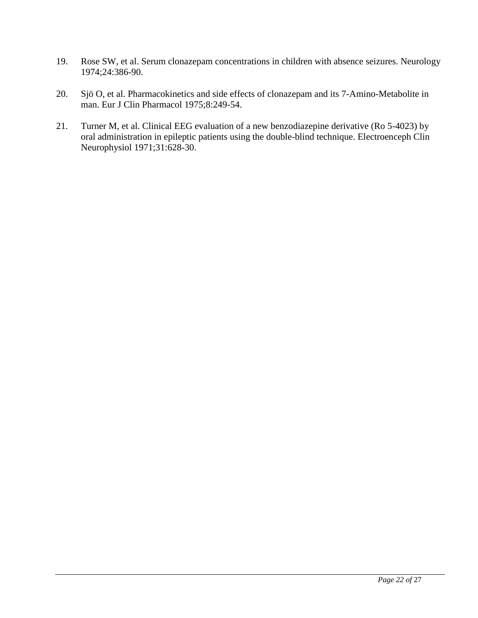- 19. Rose SW, et al. Serum clonazepam concentrations in children with absence seizures. Neurology 1974;24:386-90.
- 20. Sjö O, et al. Pharmacokinetics and side effects of clonazepam and its 7-Amino-Metabolite in man. Eur J Clin Pharmacol 1975;8:249-54.
- 21. Turner M, et al. Clinical EEG evaluation of a new benzodiazepine derivative (Ro 5-4023) by oral administration in epileptic patients using the double-blind technique. Electroenceph Clin Neurophysiol 1971;31:628-30.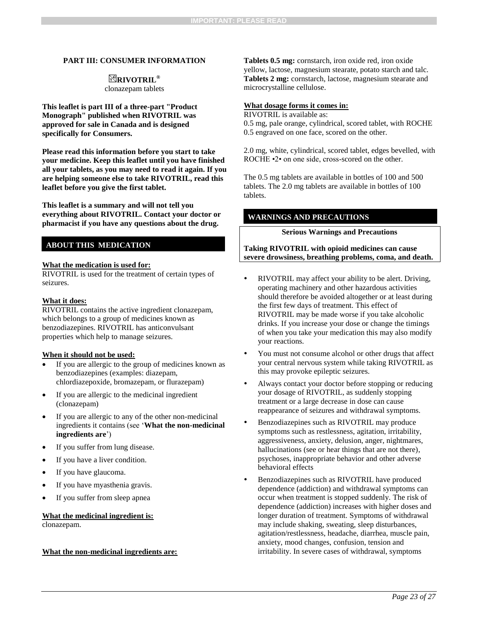#### **PART III: CONSUMER INFORMATION**

### **RIVOTRIL®**

clonazepam tablets

**This leaflet is part III of a three-part "Product Monograph" published when RIVOTRIL was approved for sale in Canada and is designed specifically for Consumers.**

**Please read this information before you start to take your medicine. Keep this leaflet until you have finished all your tablets, as you may need to read it again. If you are helping someone else to take RIVOTRIL, read this leaflet before you give the first tablet.**

**This leaflet is a summary and will not tell you everything about RIVOTRIL. Contact your doctor or pharmacist if you have any questions about the drug.** 

#### **ABOUT THIS MEDICATION**

#### **What the medication is used for:**

RIVOTRIL is used for the treatment of certain types of seizures.

#### **What it does:**

RIVOTRIL contains the active ingredient clonazepam, which belongs to a group of medicines known as benzodiazepines. RIVOTRIL has anticonvulsant properties which help to manage seizures.

#### **When it should not be used:**

- If you are allergic to the group of medicines known as benzodiazepines (examples: diazepam, chlordiazepoxide, bromazepam, or flurazepam)
- If you are allergic to the medicinal ingredient (clonazepam)
- If you are allergic to any of the other non-medicinal ingredients it contains (see '**What the non-medicinal ingredients are**')
- If you suffer from lung disease.
- If you have a liver condition.
- If you have glaucoma.
- If you have myasthenia gravis.
- If you suffer from sleep apnea

#### **What the medicinal ingredient is:**

clonazepam.

#### **What the non-medicinal ingredients are:**

<span id="page-22-0"></span>**Tablets 0.5 mg:** cornstarch, iron oxide red, iron oxide yellow, lactose, magnesium stearate, potato starch and talc. **Tablets 2 mg:** cornstarch, lactose, magnesium stearate and microcrystalline cellulose.

#### **What dosage forms it comes in:**

RIVOTRIL is available as: 0.5 mg, pale orange, cylindrical, scored tablet, with ROCHE 0.5 engraved on one face, scored on the other.

2.0 mg, white, cylindrical, scored tablet, edges bevelled, with ROCHE  $\cdot$ 2 $\cdot$  on one side, cross-scored on the other.

The 0.5 mg tablets are available in bottles of 100 and 500 tablets. The 2.0 mg tablets are available in bottles of 100 tablets.

#### **WARNINGS AND PRECAUTIONS**

#### **Serious Warnings and Precautions**

**Taking RIVOTRIL with opioid medicines can cause severe drowsiness, breathing problems, coma, and death.** 

- RIVOTRIL may affect your ability to be alert. Driving, operating machinery and other hazardous activities should therefore be avoided altogether or at least during the first few days of treatment. This effect of RIVOTRIL may be made worse if you take alcoholic drinks. If you increase your dose or change the timings of when you take your medication this may also modify your reactions.
- You must not consume alcohol or other drugs that affect your central nervous system while taking RIVOTRIL as this may provoke epileptic seizures.
- Always contact your doctor before stopping or reducing your dosage of RIVOTRIL, as suddenly stopping treatment or a large decrease in dose can cause reappearance of seizures and withdrawal symptoms.
- Benzodiazepines such as RIVOTRIL may produce symptoms such as restlessness, agitation, irritability, aggressiveness, anxiety, delusion, anger, nightmares, hallucinations (see or hear things that are not there), psychoses, inappropriate behavior and other adverse behavioral effects
- Benzodiazepines such as RIVOTRIL have produced dependence (addiction) and withdrawal symptoms can occur when treatment is stopped suddenly. The risk of dependence (addiction) increases with higher doses and longer duration of treatment. Symptoms of withdrawal may include shaking, sweating, sleep disturbances, agitation/restlessness, headache, diarrhea, muscle pain, anxiety, mood changes, confusion, tension and irritability. In severe cases of withdrawal, symptoms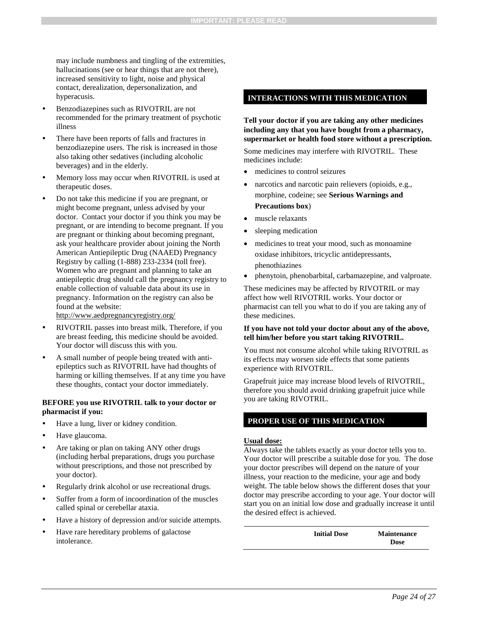may include numbness and tingling of the extremities, hallucinations (see or hear things that are not there), increased sensitivity to light, noise and physical contact, derealization, depersonalization, and hyperacusis.

- Benzodiazepines such as RIVOTRIL are not recommended for the primary treatment of psychotic illness
- There have been reports of falls and fractures in benzodiazepine users. The risk is increased in those also taking other sedatives (including alcoholic beverages) and in the elderly.
- Memory loss may occur when RIVOTRIL is used at therapeutic doses.
- Do not take this medicine if you are pregnant, or might become pregnant, unless advised by your doctor. Contact your doctor if you think you may be pregnant, or are intending to become pregnant. If you are pregnant or thinking about becoming pregnant, ask your healthcare provider about joining the North American Antiepileptic Drug (NAAED) Pregnancy Registry by calling (1-888) 233-2334 (toll free). Women who are pregnant and planning to take an antiepileptic drug should call the pregnancy registry to enable collection of valuable data about its use in pregnancy. Information on the registry can also be found at the website:

http://www.aedpregnancyregistry.org/

- RIVOTRIL passes into breast milk. Therefore, if you are breast feeding, this medicine should be avoided. Your doctor will discuss this with you.
- A small number of people being treated with antiepileptics such as RIVOTRIL have had thoughts of harming or killing themselves. If at any time you have these thoughts, contact your doctor immediately.

#### **BEFORE you use RIVOTRIL talk to your doctor or pharmacist if you:**

- Have a lung, liver or kidney condition.
- Have glaucoma.
- Are taking or plan on taking ANY other drugs (including herbal preparations, drugs you purchase without prescriptions, and those not prescribed by your doctor).
- Regularly drink alcohol or use recreational drugs.
- Suffer from a form of incoordination of the muscles called spinal or cerebellar ataxia.
- Have a history of depression and/or suicide attempts.
- Have rare hereditary problems of galactose intolerance.

#### **INTERACTIONS WITH THIS MEDICATION**

#### **Tell your doctor if you are taking any other medicines including any that you have bought from a pharmacy, supermarket or health food store without a prescription.**

Some medicines may interfere with RIVOTRIL. These medicines include:

- medicines to control seizures
- narcotics and narcotic pain relievers (opioids, e.g., morphine, codeine; see **Serious Warnings and Precautions box**)
- muscle relaxants
- sleeping medication
- medicines to treat your mood, such as monoamine oxidase inhibitors, tricyclic antidepressants, phenothiazines
- phenytoin, phenobarbital, carbamazepine, and valproate.

These medicines may be affected by RIVOTRIL or may affect how well RIVOTRIL works. Your doctor or pharmacist can tell you what to do if you are taking any of these medicines.

#### **If you have not told your doctor about any of the above, tell him/her before you start taking RIVOTRIL.**

You must not consume alcohol while taking RIVOTRIL as its effects may worsen side effects that some patients experience with RIVOTRIL.

Grapefruit juice may increase blood levels of RIVOTRIL, therefore you should avoid drinking grapefruit juice while you are taking RIVOTRIL.

#### **PROPER USE OF THIS MEDICATION**

#### **Usual dose:**

Always take the tablets exactly as your doctor tells you to. Your doctor will prescribe a suitable dose for you. The dose your doctor prescribes will depend on the nature of your illness, your reaction to the medicine, your age and body weight. The table below shows the different doses that your doctor may prescribe according to your age. Your doctor will start you on an initial low dose and gradually increase it until the desired effect is achieved.

> **Initial Dose Maintenance Dose**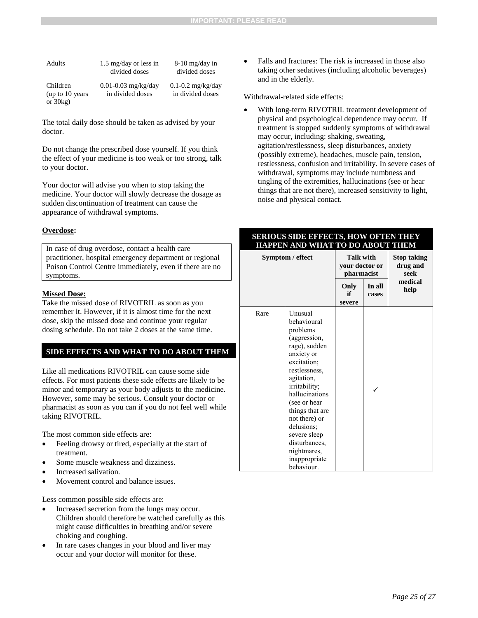| Adults                                        | $1.5 \text{ mg/day}$ or less in<br>divided doses | $8-10$ mg/day in<br>divided doses         |
|-----------------------------------------------|--------------------------------------------------|-------------------------------------------|
| Children<br>(up to $10$ years)<br>or $30kg$ ) | 0.01-0.03 mg/kg/day<br>in divided doses          | $0.1 - 0.2$ mg/kg/day<br>in divided doses |

The total daily dose should be taken as advised by your doctor.

Do not change the prescribed dose yourself. If you think the effect of your medicine is too weak or too strong, talk to your doctor.

Your doctor will advise you when to stop taking the medicine. Your doctor will slowly decrease the dosage as sudden discontinuation of treatment can cause the appearance of withdrawal symptoms.

#### **Overdose:**

In case of drug overdose, contact a health care practitioner, hospital emergency department or regional Poison Control Centre immediately, even if there are no symptoms.

#### **Missed Dose:**

Take the missed dose of RIVOTRIL as soon as you remember it. However, if it is almost time for the next dose, skip the missed dose and continue your regular dosing schedule. Do not take 2 doses at the same time.

#### **SIDE EFFECTS AND WHAT TO DO ABOUT THEM**

Like all medications RIVOTRIL can cause some side effects. For most patients these side effects are likely to be minor and temporary as your body adjusts to the medicine. However, some may be serious. Consult your doctor or pharmacist as soon as you can if you do not feel well while taking RIVOTRIL.

The most common side effects are:

- Feeling drowsy or tired, especially at the start of treatment.
- Some muscle weakness and dizziness.
- Increased salivation.
- Movement control and balance issues.

Less common possible side effects are:

- Increased secretion from the lungs may occur. Children should therefore be watched carefully as this might cause difficulties in breathing and/or severe choking and coughing.
- In rare cases changes in your blood and liver may occur and your doctor will monitor for these.

 Falls and fractures: The risk is increased in those also taking other sedatives (including alcoholic beverages) and in the elderly.

#### Withdrawal-related side effects:

 With long-term RIVOTRIL treatment development of physical and psychological dependence may occur. If treatment is stopped suddenly symptoms of withdrawal may occur, including: shaking, sweating, agitation/restlessness, sleep disturbances, anxiety (possibly extreme), headaches, muscle pain, tension, restlessness, confusion and irritability. In severe cases of withdrawal, symptoms may include numbness and tingling of the extremities, hallucinations (see or hear things that are not there), increased sensitivity to light, noise and physical contact.

#### **SERIOUS SIDE EFFECTS, HOW OFTEN THEY HAPPEN AND WHAT TO DO ABOUT THEM**

| Symptom / effect |                                                                                                                                                                                                                                                                                                                     | <b>Talk with</b><br>your doctor or<br>pharmacist |                 | <b>Stop taking</b><br>drug and<br>seek |
|------------------|---------------------------------------------------------------------------------------------------------------------------------------------------------------------------------------------------------------------------------------------------------------------------------------------------------------------|--------------------------------------------------|-----------------|----------------------------------------|
|                  |                                                                                                                                                                                                                                                                                                                     | Only<br>if<br>severe                             | In all<br>cases | medical<br>help                        |
| Rare             | Unusual<br>behavioural<br>problems<br>(aggression,<br>rage), sudden<br>anxiety or<br>excitation;<br>restlessness,<br>agitation,<br>irritability;<br>hallucinations<br>(see or hear<br>things that are<br>not there) or<br>delusions;<br>severe sleep<br>disturbances,<br>nightmares,<br>inappropriate<br>behaviour. |                                                  |                 |                                        |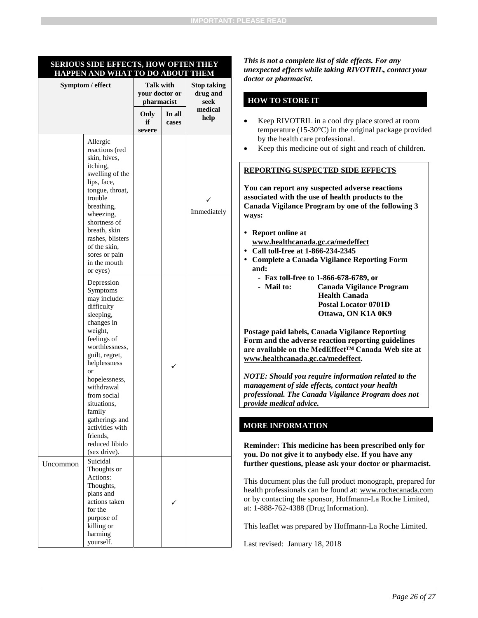#### **SERIOUS SIDE EFFECTS, HOW OFTEN THEY HAPPEN AND WHAT TO DO ABOUT THEM**

| Symptom / effect |                                                                                                                                                                                                                                                                                                                               | <b>Talk with</b><br>your doctor or<br>pharmacist |                 | <b>Stop taking</b><br>drug and<br>seek |
|------------------|-------------------------------------------------------------------------------------------------------------------------------------------------------------------------------------------------------------------------------------------------------------------------------------------------------------------------------|--------------------------------------------------|-----------------|----------------------------------------|
|                  |                                                                                                                                                                                                                                                                                                                               | Only<br>if<br>severe                             | In all<br>cases | medical<br>help                        |
|                  | Allergic<br>reactions (red<br>skin, hives,<br>itching,<br>swelling of the<br>lips, face,<br>tongue, throat,<br>trouble<br>breathing,<br>wheezing,<br>shortness of<br>breath, skin<br>rashes, blisters<br>of the skin,<br>sores or pain<br>in the mouth<br>or eyes)                                                            |                                                  |                 | Immediately                            |
|                  | Depression<br>Symptoms<br>may include:<br>difficulty<br>sleeping,<br>changes in<br>weight,<br>feelings of<br>worthlessness,<br>guilt, regret,<br>helplessness<br>or<br>hopelessness,<br>withdrawal<br>from social<br>situations.<br>family<br>gatherings and<br>activities with<br>friends,<br>reduced libido<br>(sex drive). |                                                  |                 |                                        |
| Uncommon         | Suicidal<br>Thoughts or<br>Actions:<br>Thoughts,<br>plans and<br>actions taken<br>for the<br>purpose of<br>killing or<br>harming<br>yourself.                                                                                                                                                                                 |                                                  |                 |                                        |

*This is not a complete list of side effects. For any unexpected effects while taking RIVOTRIL, contact your doctor or pharmacist.*

#### **HOW TO STORE IT**

- Keep RIVOTRIL in a cool dry place stored at room temperature (15-30°C) in the original package provided by the health care professional.
- Keep this medicine out of sight and reach of children.

#### **REPORTING SUSPECTED SIDE EFFECTS**

**You can report any suspected adverse reactions associated with the use of health products to the Canada Vigilance Program by one of the following 3 ways:**

- **Report online at www.healthcanada.gc.ca/medeffect**
- **Call toll-free at 1-866-234-2345**
- **Complete a Canada Vigilance Reporting Form and:**
	- **Fax toll-free to 1-866-678-6789, or**
	- **Mail to: Canada Vigilance Program Health Canada Postal Locator 0701D Ottawa, ON K1A 0K9**

**Postage paid labels, Canada Vigilance Reporting Form and the adverse reaction reporting guidelines are available on the MedEffect™ Canada Web site at www.healthcanada.gc.ca/medeffect.**

*NOTE: Should you require information related to the management of side effects, contact your health professional. The Canada Vigilance Program does not provide medical advice.*

#### **MORE INFORMATION**

**Reminder: This medicine has been prescribed only for you. Do not give it to anybody else. If you have any further questions, please ask your doctor or pharmacist.**

This document plus the full product monograph, prepared for health professionals can be found at: www.rochecanada.com or by contacting the sponsor, Hoffmann-La Roche Limited, at: 1-888-762-4388 (Drug Information).

This leaflet was prepared by Hoffmann-La Roche Limited.

Last revised: January 18, 2018